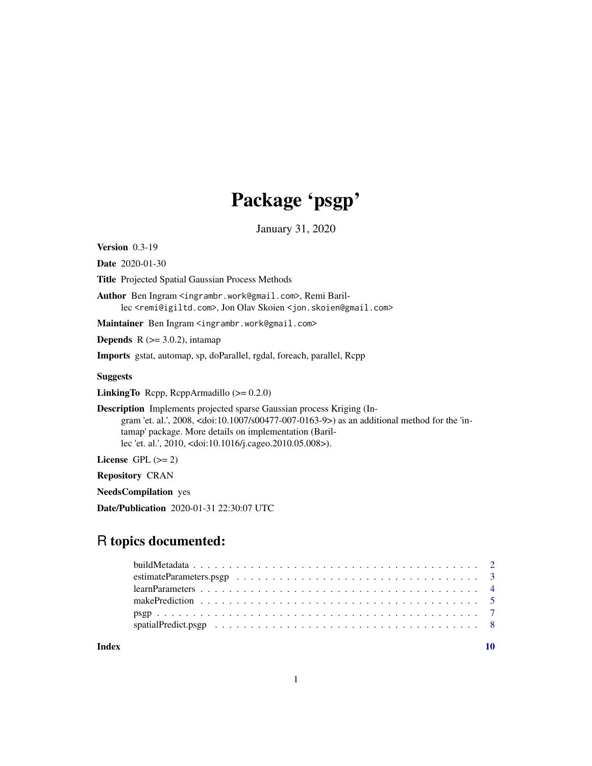# Package 'psgp'

January 31, 2020

<span id="page-0-0"></span>Version 0.3-19

Date 2020-01-30

Title Projected Spatial Gaussian Process Methods

Author Ben Ingram <ingrambr.work@gmail.com>, Remi Barillec <remi@igiltd.com>, Jon Olav Skoien <jon.skoien@gmail.com>

Maintainer Ben Ingram <ingrambr.work@gmail.com>

**Depends** R  $(>= 3.0.2)$ , intamap

Imports gstat, automap, sp, doParallel, rgdal, foreach, parallel, Rcpp

# Suggests

LinkingTo Rcpp, RcppArmadillo (>= 0.2.0)

Description Implements projected sparse Gaussian process Kriging (Ingram 'et. al.', 2008, <doi:10.1007/s00477-007-0163-9>) as an additional method for the 'intamap' package. More details on implementation (Barillec 'et. al.', 2010, <doi:10.1016/j.cageo.2010.05.008>).

License GPL  $(>= 2)$ 

Repository CRAN

NeedsCompilation yes

Date/Publication 2020-01-31 22:30:07 UTC

# R topics documented:

 $\blacksquare$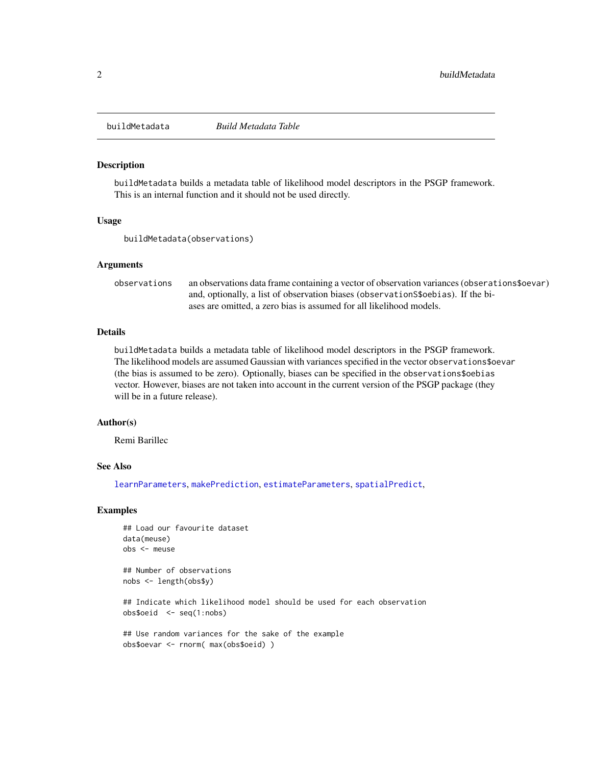<span id="page-1-0"></span>

#### Description

buildMetadata builds a metadata table of likelihood model descriptors in the PSGP framework. This is an internal function and it should not be used directly.

#### Usage

buildMetadata(observations)

#### Arguments

observations an observations data frame containing a vector of observation variances (obserations\$oevar) and, optionally, a list of observation biases (observationS\$oebias). If the biases are omitted, a zero bias is assumed for all likelihood models.

#### Details

buildMetadata builds a metadata table of likelihood model descriptors in the PSGP framework. The likelihood models are assumed Gaussian with variances specified in the vector observations\$oevar (the bias is assumed to be zero). Optionally, biases can be specified in the observations\$oebias vector. However, biases are not taken into account in the current version of the PSGP package (they will be in a future release).

#### Author(s)

Remi Barillec

## See Also

[learnParameters](#page-3-1), [makePrediction](#page-4-1), [estimateParameters](#page-2-1), [spatialPredict](#page-7-1),

#### Examples

```
## Load our favourite dataset
data(meuse)
obs <- meuse
```
## Number of observations nobs <- length(obs\$y)

## Indicate which likelihood model should be used for each observation obs\$oeid <- seq(1:nobs)

```
## Use random variances for the sake of the example
obs$oevar <- rnorm( max(obs$oeid) )
```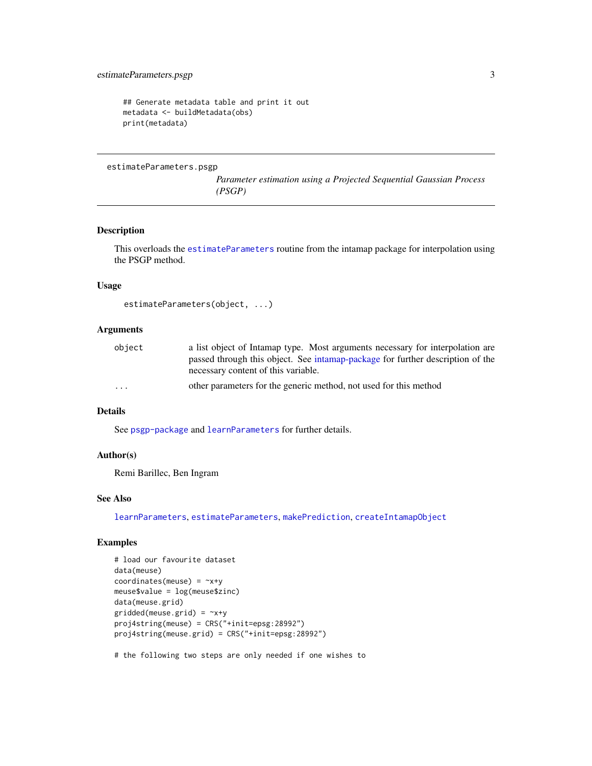```
## Generate metadata table and print it out
metadata <- buildMetadata(obs)
print(metadata)
```
estimateParameters.psgp

*Parameter estimation using a Projected Sequential Gaussian Process (PSGP)*

# <span id="page-2-1"></span>Description

This overloads the [estimateParameters](#page-2-1) routine from the intamap package for interpolation using the PSGP method.

#### Usage

```
estimateParameters(object, ...)
```
# Arguments

| object                  | a list object of Intamap type. Most arguments necessary for interpolation are  |  |  |  |  |  |  |  |  |  |  |
|-------------------------|--------------------------------------------------------------------------------|--|--|--|--|--|--|--|--|--|--|
|                         | passed through this object. See intamap-package for further description of the |  |  |  |  |  |  |  |  |  |  |
|                         | necessary content of this variable.                                            |  |  |  |  |  |  |  |  |  |  |
| $\cdot$ $\cdot$ $\cdot$ | other parameters for the generic method, not used for this method              |  |  |  |  |  |  |  |  |  |  |

#### Details

See [psgp-package](#page-6-1) and [learnParameters](#page-3-1) for further details.

#### Author(s)

Remi Barillec, Ben Ingram

# See Also

[learnParameters](#page-3-1), [estimateParameters](#page-2-1), [makePrediction](#page-4-1), [createIntamapObject](#page-0-0)

# Examples

```
# load our favourite dataset
data(meuse)
coordinates(meuse) = -x+ymeuse$value = log(meuse$zinc)
data(meuse.grid)
gridded(meuse.grid) = -x+yproj4string(meuse) = CRS("+init=epsg:28992")
proj4string(meuse.grid) = CRS("+init=epsg:28992")
```
# the following two steps are only needed if one wishes to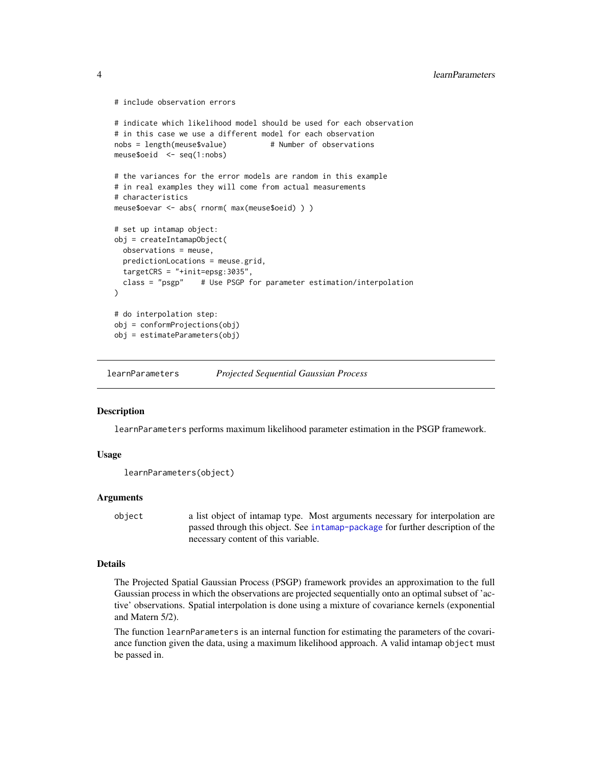```
# include observation errors
```

```
# indicate which likelihood model should be used for each observation
# in this case we use a different model for each observation
nobs = length(meuse$value) # Number of observations
meuse$oeid <- seq(1:nobs)
# the variances for the error models are random in this example
# in real examples they will come from actual measurements
# characteristics
meuse$oevar <- abs( rnorm( max(meuse$oeid) ) )
# set up intamap object:
obj = createIntamapObject(
  observations = meuse,
  predictionLocations = meuse.grid,
  targetCRS = "+init=epsg:3035",
  class = "psgp" # Use PSGP for parameter estimation/interpolation
\lambda# do interpolation step:
obj = conformProjections(obj)
obj = estimateParameters(obj)
```
<span id="page-3-1"></span>learnParameters *Projected Sequential Gaussian Process*

#### **Description**

learnParameters performs maximum likelihood parameter estimation in the PSGP framework.

# Usage

```
learnParameters(object)
```
#### Arguments

```
object a list object of intamap type. Most arguments necessary for interpolation are
                  passed through this object. See intamap-package for further description of the
                 necessary content of this variable.
```
#### Details

The Projected Spatial Gaussian Process (PSGP) framework provides an approximation to the full Gaussian process in which the observations are projected sequentially onto an optimal subset of 'active' observations. Spatial interpolation is done using a mixture of covariance kernels (exponential and Matern 5/2).

The function learnParameters is an internal function for estimating the parameters of the covariance function given the data, using a maximum likelihood approach. A valid intamap object must be passed in.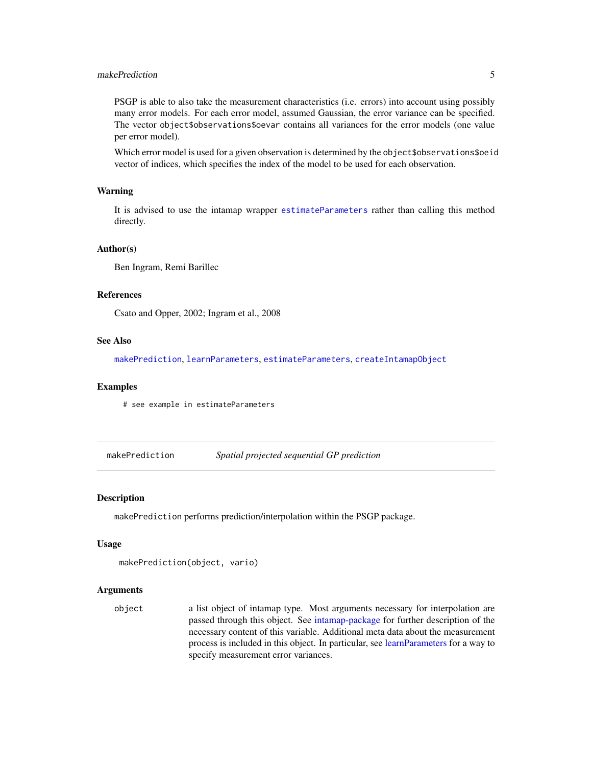# <span id="page-4-0"></span>makePrediction 5

PSGP is able to also take the measurement characteristics (i.e. errors) into account using possibly many error models. For each error model, assumed Gaussian, the error variance can be specified. The vector object\$observations\$oevar contains all variances for the error models (one value per error model).

Which error model is used for a given observation is determined by the object\$observations\$oeid vector of indices, which specifies the index of the model to be used for each observation.

#### Warning

It is advised to use the intamap wrapper [estimateParameters](#page-2-1) rather than calling this method directly.

#### Author(s)

Ben Ingram, Remi Barillec

# References

Csato and Opper, 2002; Ingram et al., 2008

# See Also

[makePrediction](#page-4-1), [learnParameters](#page-3-1), [estimateParameters](#page-2-1), [createIntamapObject](#page-0-0)

#### Examples

# see example in estimateParameters

<span id="page-4-1"></span>makePrediction *Spatial projected sequential GP prediction*

#### Description

makePrediction performs prediction/interpolation within the PSGP package.

#### Usage

```
makePrediction(object, vario)
```
# Arguments

object a list object of intamap type. Most arguments necessary for interpolation are passed through this object. See [intamap-package](#page-0-0) for further description of the necessary content of this variable. Additional meta data about the measurement process is included in this object. In particular, see [learnParameters](#page-3-1) for a way to specify measurement error variances.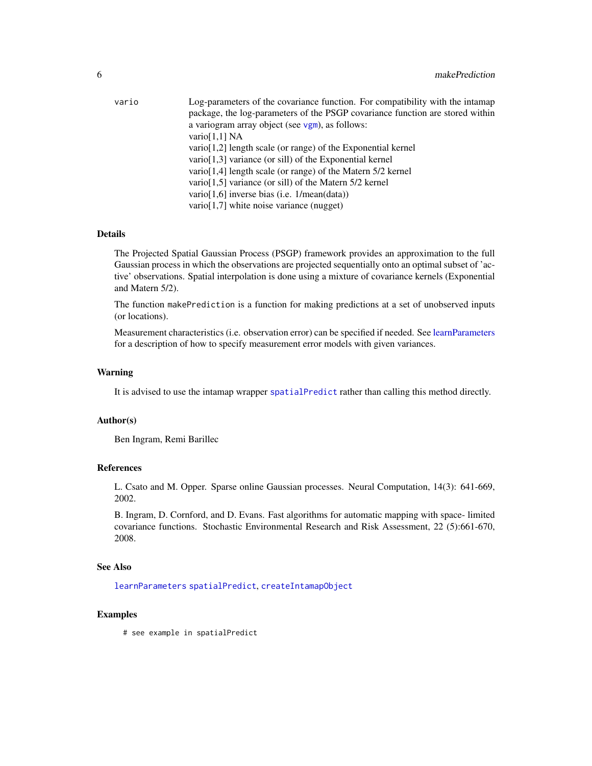<span id="page-5-0"></span>

| vario | Log-parameters of the covariance function. For compatibility with the intamap |
|-------|-------------------------------------------------------------------------------|
|       | package, the log-parameters of the PSGP covariance function are stored within |
|       | a variogram array object (see vgm), as follows:                               |
|       | vario $[1,1]$ NA                                                              |
|       | $\varphi$ vario [1,2] length scale (or range) of the Exponential kernel       |
|       | vario $[1,3]$ variance (or sill) of the Exponential kernel                    |
|       | vario [1,4] length scale (or range) of the Matern $5/2$ kernel                |
|       | vario [1,5] variance (or sill) of the Matern 5/2 kernel                       |
|       | vario $[1,6]$ inverse bias (i.e. $1/mean(data)$ )                             |
|       | $\text{vario}[1,7]$ white noise variance (nugget)                             |
|       |                                                                               |

# Details

The Projected Spatial Gaussian Process (PSGP) framework provides an approximation to the full Gaussian process in which the observations are projected sequentially onto an optimal subset of 'active' observations. Spatial interpolation is done using a mixture of covariance kernels (Exponential and Matern 5/2).

The function makePrediction is a function for making predictions at a set of unobserved inputs (or locations).

Measurement characteristics (i.e. observation error) can be specified if needed. See [learnParameters](#page-3-1) for a description of how to specify measurement error models with given variances.

# Warning

It is advised to use the intamap wrapper [spatialPredict](#page-7-1) rather than calling this method directly.

#### Author(s)

Ben Ingram, Remi Barillec

# References

L. Csato and M. Opper. Sparse online Gaussian processes. Neural Computation, 14(3): 641-669, 2002.

B. Ingram, D. Cornford, and D. Evans. Fast algorithms for automatic mapping with space- limited covariance functions. Stochastic Environmental Research and Risk Assessment, 22 (5):661-670, 2008.

#### See Also

[learnParameters](#page-3-1) [spatialPredict](#page-7-1), [createIntamapObject](#page-0-0)

#### Examples

# see example in spatialPredict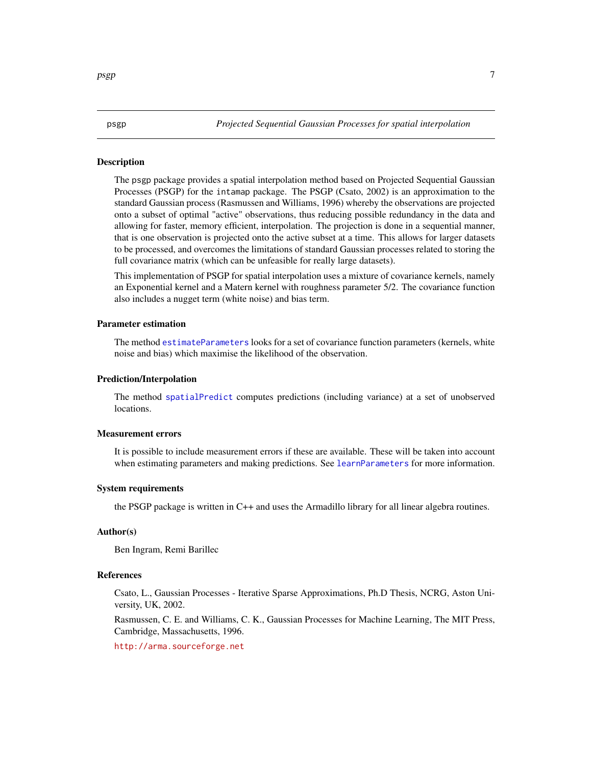#### <span id="page-6-1"></span>**Description**

The psgp package provides a spatial interpolation method based on Projected Sequential Gaussian Processes (PSGP) for the intamap package. The PSGP (Csato, 2002) is an approximation to the standard Gaussian process (Rasmussen and Williams, 1996) whereby the observations are projected onto a subset of optimal "active" observations, thus reducing possible redundancy in the data and allowing for faster, memory efficient, interpolation. The projection is done in a sequential manner, that is one observation is projected onto the active subset at a time. This allows for larger datasets to be processed, and overcomes the limitations of standard Gaussian processes related to storing the full covariance matrix (which can be unfeasible for really large datasets).

This implementation of PSGP for spatial interpolation uses a mixture of covariance kernels, namely an Exponential kernel and a Matern kernel with roughness parameter 5/2. The covariance function also includes a nugget term (white noise) and bias term.

#### Parameter estimation

The method [estimateParameters](#page-2-1) looks for a set of covariance function parameters (kernels, white noise and bias) which maximise the likelihood of the observation.

#### Prediction/Interpolation

The method [spatialPredict](#page-7-1) computes predictions (including variance) at a set of unobserved locations.

#### Measurement errors

It is possible to include measurement errors if these are available. These will be taken into account when estimating parameters and making predictions. See [learnParameters](#page-3-1) for more information.

### System requirements

the PSGP package is written in C++ and uses the Armadillo library for all linear algebra routines.

# Author(s)

Ben Ingram, Remi Barillec

#### References

Csato, L., Gaussian Processes - Iterative Sparse Approximations, Ph.D Thesis, NCRG, Aston University, UK, 2002.

Rasmussen, C. E. and Williams, C. K., Gaussian Processes for Machine Learning, The MIT Press, Cambridge, Massachusetts, 1996.

<http://arma.sourceforge.net>

<span id="page-6-0"></span> $p<sub>sp</sub>$  psgp  $\sim$  7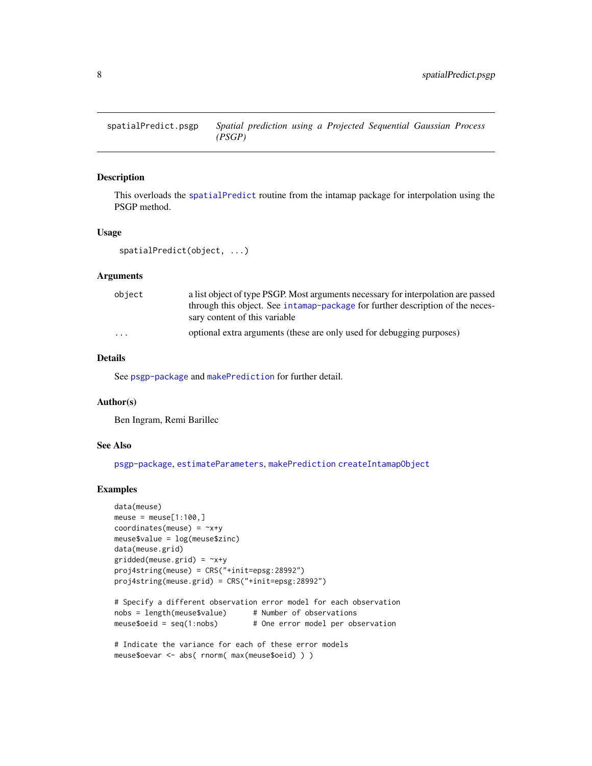<span id="page-7-0"></span>

# <span id="page-7-1"></span>Description

This overloads the [spatialPredict](#page-7-1) routine from the intamap package for interpolation using the PSGP method.

#### Usage

spatialPredict(object, ...)

# Arguments

| object   | a list object of type PSGP. Most arguments necessary for interpolation are passed |
|----------|-----------------------------------------------------------------------------------|
|          | through this object. See intamap-package for further description of the neces-    |
|          | sary content of this variable                                                     |
| $\cdots$ | optional extra arguments (these are only used for debugging purposes)             |

# Details

See [psgp-package](#page-6-1) and [makePrediction](#page-4-1) for further detail.

#### Author(s)

Ben Ingram, Remi Barillec

# See Also

[psgp-package](#page-6-1), [estimateParameters](#page-2-1), [makePrediction](#page-4-1) [createIntamapObject](#page-0-0)

# Examples

```
data(meuse)
meuse = meuse[1:100, ]coordinates(meuse) = -x+ymeuse$value = log(meuse$zinc)
data(meuse.grid)
gridded(meuse.grid) = -x+yproj4string(meuse) = CRS("+init=epsg:28992")
proj4string(meuse.grid) = CRS("+init=epsg:28992")
```

```
# Specify a different observation error model for each observation
nobs = length(meuse$value) # Number of observations
meuse$oeid = seq(1:nobs) # One error model per observation
```

```
# Indicate the variance for each of these error models
meuse$oevar <- abs( rnorm( max(meuse$oeid) ) )
```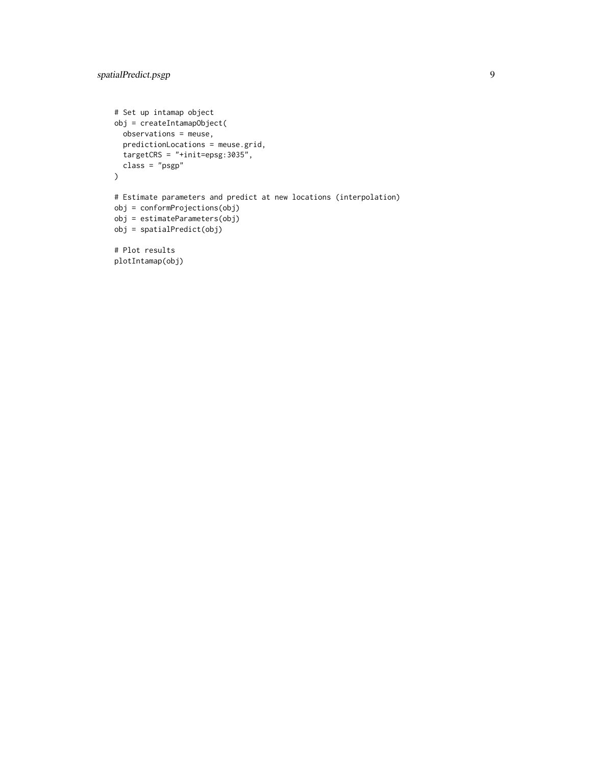```
# Set up intamap object
obj = createIntamapObject(
  observations = meuse,
  predictionLocations = meuse.grid,
  targetCRS = "+init=epsg:3035",
  class = "psgp"
\mathcal{L}# Estimate parameters and predict at new locations (interpolation)
obj = conformProjections(obj)
obj = estimateParameters(obj)
obj = spatialPredict(obj)
# Plot results
plotIntamap(obj)
```